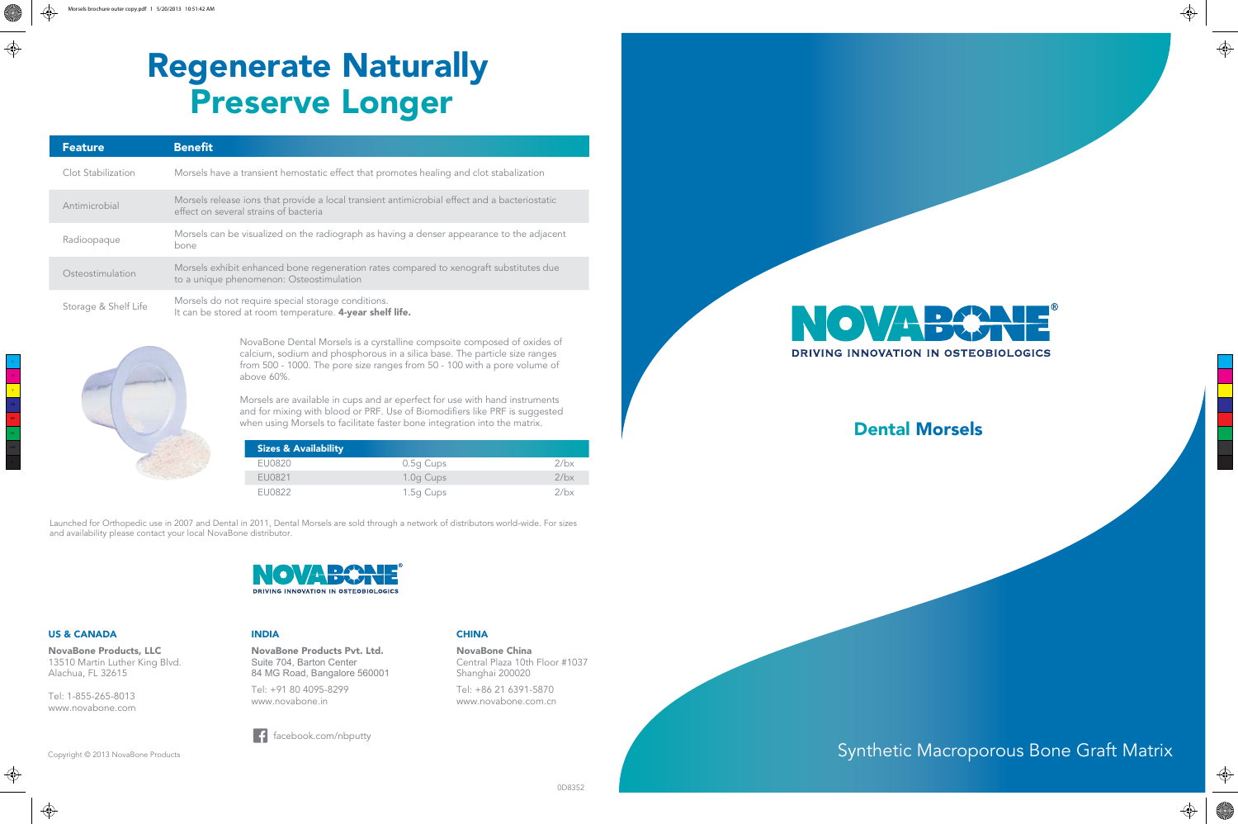M Y

⊕

MY

## Dental Morsels

## Synthetic Macroporous Bone Graft Matrix





 $\bigoplus$ 

◈

# Regenerate Naturally Preserve Longer

| <b>Feature</b>       | <b>Benefit</b>                                                                                                                         |
|----------------------|----------------------------------------------------------------------------------------------------------------------------------------|
| Clot Stabilization   | Morsels have a transient hemostatic effect that promotes healing and clot stabalization                                                |
| Antimicrobial        | Morsels release ions that provide a local transient antimicrobial effect and a bacteriostatic<br>effect on several strains of bacteria |
| Radioopaque          | Morsels can be visualized on the radiograph as having a denser appearance to the adjacent<br>bone                                      |
| Osteostimulation     | Morsels exhibit enhanced bone regeneration rates compared to xenograft substitutes due<br>to a unique phenomenon: Osteostimulation     |
| Storage & Shelf Life | Morsels do not require special storage conditions.<br>It can be stored at room temperature. 4-year shelf life.                         |

NovaBone Dental Morsels is a cyrstalline compsoite composed of oxides of calcium, sodium and phosphorous in a silica base. The particle size ranges from 500 - 1000. The pore size ranges from 50 - 100 with a pore volume of above 60%.

Morsels are available in cups and ar eperfect for use with hand instruments and for mixing with blood or PRF. Use of Biomodifiers like PRF is suggested when using Morsels to facilitate faster bone integration into the matrix.

Launched for Orthopedic use in 2007 and Dental in 2011, Dental Morsels are sold through a network of distributors world-wide. For sizes and availability please contact your local NovaBone distributor.



| <b>Sizes &amp; Availability</b> |           |         |
|---------------------------------|-----------|---------|
| <b>FU0820</b>                   | 0.5g Cups | $2$ /bx |
| FU0821                          | 1.0g Cups | 2/bx    |
| FU0822                          | 1.5g Cups | 2/hx    |

Copyright © 2013 NovaBone Products

#### US & CANADA

NovaBone Products, LLC 13510 Martin Luther King Blvd. Alachua, FL 32615

Tel: 1-855-265-8013 www.novabone.com

#### INDIA

NovaBone Products Pvt. Ltd. Suite 704, Barton Center 84 MG Road, Bangalore 560001

Tel: +91 80 4095-8299 www.novabone.in

#### CHINA

NovaBone China Central Plaza 10th Floor #1037 Shanghai 200020

Tel: +86 21 6391-5870 www.novabone.com.cn